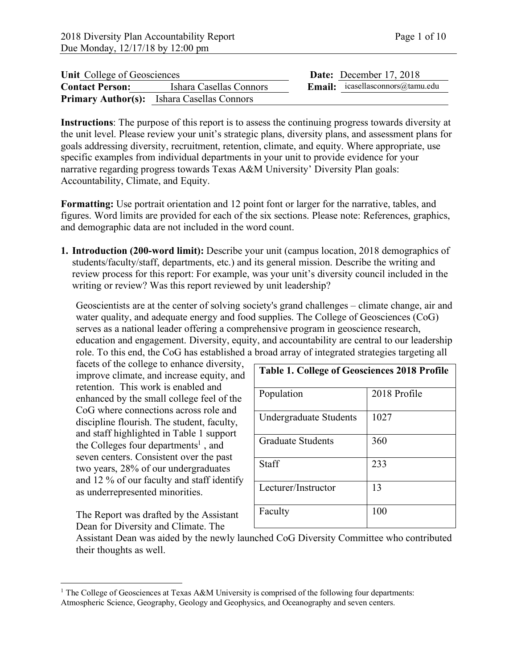| Unit College of Geosciences |                                                   | Date: December 17, 2018                 |
|-----------------------------|---------------------------------------------------|-----------------------------------------|
| <b>Contact Person:</b>      | Ishara Casellas Connors                           | <b>Email:</b> icasellasconnors@tamu.edu |
|                             | <b>Primary Author(s):</b> Ishara Casellas Connors |                                         |

**Instructions**: The purpose of this report is to assess the continuing progress towards diversity at the unit level. Please review your unit's strategic plans, diversity plans, and assessment plans for goals addressing diversity, recruitment, retention, climate, and equity. Where appropriate, use specific examples from individual departments in your unit to provide evidence for your narrative regarding progress towards Texas A&M University' Diversity Plan goals: Accountability, Climate, and Equity.

**Formatting:** Use portrait orientation and 12 point font or larger for the narrative, tables, and figures. Word limits are provided for each of the six sections. Please note: References, graphics, and demographic data are not included in the word count.

**1. Introduction (200-word limit):** Describe your unit (campus location, 2018 demographics of students/faculty/staff, departments, etc.) and its general mission. Describe the writing and review process for this report: For example, was your unit's diversity council included in the writing or review? Was this report reviewed by unit leadership?

Geoscientists are at the center of solving society's grand challenges – climate change, air and water quality, and adequate energy and food supplies. The College of Geosciences (CoG) serves as a national leader offering a comprehensive program in geoscience research, education and engagement. Diversity, equity, and accountability are central to our leadership role. To this end, the CoG has established a broad array of integrated strategies targeting all

facets of the college to enhance diversity, improve climate, and increase equity, and retention. This work is enabled and enhanced by the small college feel of the CoG where connections across role and discipline flourish. The student, faculty, and staff highlighted in Table 1 support the Colleges four departments<sup>1</sup>, and seven centers. Consistent over the past two years, 28% of our undergraduates and 12 % of our faculty and staff identify as underrepresented minorities.

The Report was drafted by the Assistant Dean for Diversity and Climate. The

| <b>Table 1. College of Geosciences 2018 Profile</b> |              |  |  |  |  |
|-----------------------------------------------------|--------------|--|--|--|--|
| Population                                          | 2018 Profile |  |  |  |  |
| <b>Undergraduate Students</b>                       | 1027         |  |  |  |  |
| <b>Graduate Students</b>                            | 360          |  |  |  |  |
| Staff                                               | 233          |  |  |  |  |
| Lecturer/Instructor                                 | 13           |  |  |  |  |
| Faculty                                             | 100          |  |  |  |  |

Assistant Dean was aided by the newly launched CoG Diversity Committee who contributed their thoughts as well.

<sup>&</sup>lt;sup>1</sup> The College of Geosciences at Texas A&M University is comprised of the following four departments: Atmospheric Science, Geography, Geology and Geophysics, and Oceanography and seven centers.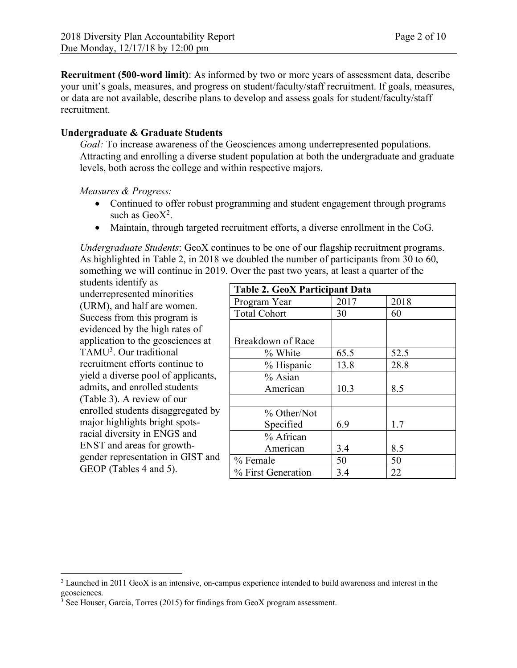**Recruitment (500-word limit)**: As informed by two or more years of assessment data, describe your unit's goals, measures, and progress on student/faculty/staff recruitment. If goals, measures, or data are not available, describe plans to develop and assess goals for student/faculty/staff recruitment.

## **Undergraduate & Graduate Students**

*Goal:* To increase awareness of the Geosciences among underrepresented populations. Attracting and enrolling a diverse student population at both the undergraduate and graduate levels, both across the college and within respective majors.

*Measures & Progress:*

- Continued to offer robust programming and student engagement through programs such as  $GeoX<sup>2</sup>$ .
- Maintain, through targeted recruitment efforts, a diverse enrollment in the CoG.

*Undergraduate Students*: GeoX continues to be one of our flagship recruitment programs. As highlighted in Table 2, in 2018 we doubled the number of participants from 30 to 60, something we will continue in 2019. Over the past two years, at least a quarter of the

students identify as underrepresented minorities (URM), and half are women. Success from this program is evidenced by the high rates of application to the geosciences at TAMU3. Our traditional recruitment efforts continue to yield a diverse pool of applicants, admits, and enrolled students (Table 3). A review of our enrolled students disaggregated by major highlights bright spotsracial diversity in ENGS and ENST and areas for growthgender representation in GIST and GEOP (Tables 4 and 5).

| <b>Table 2. GeoX Participant Data</b> |      |      |  |  |  |  |
|---------------------------------------|------|------|--|--|--|--|
| Program Year                          | 2017 | 2018 |  |  |  |  |
| <b>Total Cohort</b>                   | 30   | 60   |  |  |  |  |
|                                       |      |      |  |  |  |  |
| Breakdown of Race                     |      |      |  |  |  |  |
| % White                               | 65.5 | 52.5 |  |  |  |  |
| % Hispanic                            | 13.8 | 28.8 |  |  |  |  |
| % Asian                               |      |      |  |  |  |  |
| American                              | 10.3 | 8.5  |  |  |  |  |
|                                       |      |      |  |  |  |  |
| % Other/Not                           |      |      |  |  |  |  |
| Specified                             | 6.9  | 1.7  |  |  |  |  |
| % African                             |      |      |  |  |  |  |
| American                              | 3.4  | 8.5  |  |  |  |  |
| % Female                              | 50   | 50   |  |  |  |  |
| % First Generation                    | 3.4  | 22   |  |  |  |  |

 <sup>2</sup> Launched in 2011 GeoX is an intensive, on-campus experience intended to build awareness and interest in the geosciences.

 $3$  See Houser, Garcia, Torres (2015) for findings from GeoX program assessment.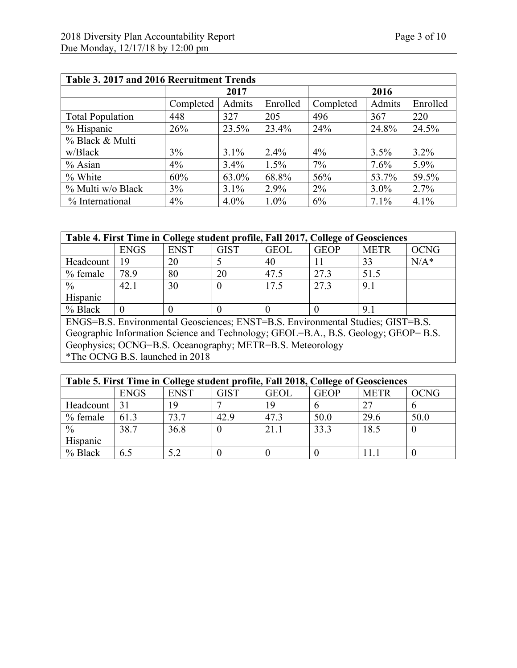| Table 3. 2017 and 2016 Recruitment Trends |           |         |          |           |         |          |  |  |
|-------------------------------------------|-----------|---------|----------|-----------|---------|----------|--|--|
|                                           | 2017      |         |          | 2016      |         |          |  |  |
|                                           | Completed | Admits  | Enrolled | Completed | Admits  | Enrolled |  |  |
| <b>Total Population</b>                   | 448       | 327     | 205      | 496       | 367     | 220      |  |  |
| % Hispanic                                | 26%       | 23.5%   | 23.4%    | 24%       | 24.8%   | 24.5%    |  |  |
| % Black & Multi                           |           |         |          |           |         |          |  |  |
| w/Black                                   | 3%        | 3.1%    | $2.4\%$  | 4%        | 3.5%    | $3.2\%$  |  |  |
| $%$ Asian                                 | $4\%$     | 3.4%    | $1.5\%$  | 7%        | 7.6%    | 5.9%     |  |  |
| % White                                   | 60%       | 63.0%   | 68.8%    | 56%       | 53.7%   | 59.5%    |  |  |
| % Multi w/o Black                         | 3%        | 3.1%    | 2.9%     | $2\%$     | $3.0\%$ | 2.7%     |  |  |
| % International                           | 4%        | $4.0\%$ | $1.0\%$  | 6%        | 7.1%    | 4.1%     |  |  |

| Table 4. First Time in College student profile, Fall 2017, College of Geosciences |             |             |      |             |             |             |         |
|-----------------------------------------------------------------------------------|-------------|-------------|------|-------------|-------------|-------------|---------|
|                                                                                   | <b>ENGS</b> | <b>ENST</b> | GIST | <b>GEOL</b> | <b>GEOP</b> | <b>METR</b> | OCNG    |
| Headcount                                                                         | 19          | 20          |      | 40          |             | 33          | $N/A^*$ |
| % female                                                                          | 78.9        | 80          | 20   | 47.5        | 27.3        | 51.5        |         |
| $\frac{0}{0}$                                                                     | 42.1        | 30          |      | 17.5        | 27.3        | 9.1         |         |
| Hispanic                                                                          |             |             |      |             |             |             |         |
| % Black                                                                           |             |             |      |             |             | 9.1         |         |

ENGS=B.S. Environmental Geosciences; ENST=B.S. Environmental Studies; GIST=B.S. Geographic Information Science and Technology; GEOL=B.A., B.S. Geology; GEOP= B.S. Geophysics; OCNG=B.S. Oceanography; METR=B.S. Meteorology \*The OCNG B.S. launched in 2018

| Table 5. First Time in College student profile, Fall 2018, College of Geosciences |             |             |             |             |             |             |      |
|-----------------------------------------------------------------------------------|-------------|-------------|-------------|-------------|-------------|-------------|------|
|                                                                                   | <b>ENGS</b> | <b>ENST</b> | <b>GIST</b> | <b>GEOL</b> | <b>GEOP</b> | <b>METR</b> | OCNG |
| Headcount                                                                         | 31          | 19          |             | 19          |             | 27          |      |
| $%$ female                                                                        | 61.3        | 73.7        | 42.9        | 47.3        | 50.0        | 29.6        | 50.0 |
| $\frac{0}{0}$                                                                     | 38.7        | 36.8        |             | 21.1        | 33.3        | 18.5        |      |
| Hispanic                                                                          |             |             |             |             |             |             |      |
| $%$ Black                                                                         | 6.5         |             |             |             |             |             |      |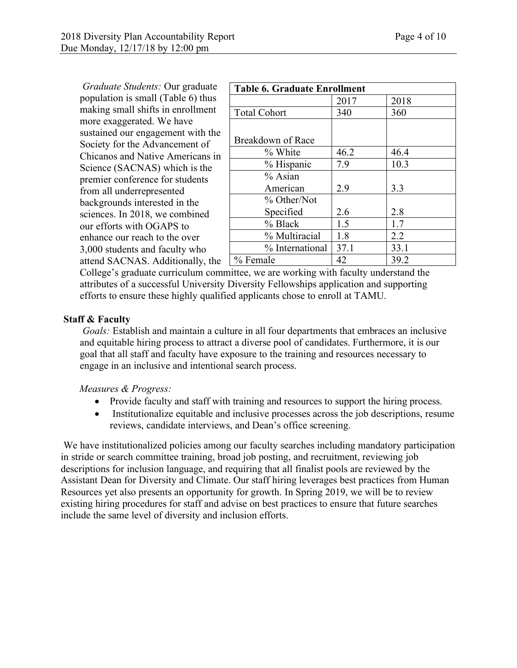*Graduate Students:* Our graduate population is small (Table 6) thus making small shifts in enrollment more exaggerated. We have sustained our engagement with the Society for the Advancement of Chicanos and Native Americans in Science (SACNAS) which is the premier conference for students from all underrepresented backgrounds interested in the sciences. In 2018, we combined our efforts with OGAPS to enhance our reach to the over 3,000 students and faculty who attend SACNAS. Additionally, the

| <b>Table 6. Graduate Enrollment</b> |      |      |  |  |  |  |
|-------------------------------------|------|------|--|--|--|--|
|                                     | 2017 | 2018 |  |  |  |  |
| <b>Total Cohort</b>                 | 340  | 360  |  |  |  |  |
|                                     |      |      |  |  |  |  |
| Breakdown of Race                   |      |      |  |  |  |  |
| % White                             | 46.2 | 46.4 |  |  |  |  |
| % Hispanic                          | 7.9  | 10.3 |  |  |  |  |
| $%$ Asian                           |      |      |  |  |  |  |
| American                            | 2.9  | 3.3  |  |  |  |  |
| % Other/Not                         |      |      |  |  |  |  |
| Specified                           | 2.6  | 2.8  |  |  |  |  |
| % Black                             | 1.5  | 1.7  |  |  |  |  |
| % Multiracial                       | 1.8  | 2.2  |  |  |  |  |
| % International                     | 37.1 | 33.1 |  |  |  |  |
| % Female                            | 42   | 39.2 |  |  |  |  |

College's graduate curriculum committee, we are working with faculty understand the attributes of a successful University Diversity Fellowships application and supporting efforts to ensure these highly qualified applicants chose to enroll at TAMU.

## **Staff & Faculty**

*Goals:* Establish and maintain a culture in all four departments that embraces an inclusive and equitable hiring process to attract a diverse pool of candidates. Furthermore, it is our goal that all staff and faculty have exposure to the training and resources necessary to engage in an inclusive and intentional search process.

*Measures & Progress:*

- Provide faculty and staff with training and resources to support the hiring process.
- Institutionalize equitable and inclusive processes across the job descriptions, resume reviews, candidate interviews, and Dean's office screening.

We have institutionalized policies among our faculty searches including mandatory participation in stride or search committee training, broad job posting, and recruitment, reviewing job descriptions for inclusion language, and requiring that all finalist pools are reviewed by the Assistant Dean for Diversity and Climate. Our staff hiring leverages best practices from Human Resources yet also presents an opportunity for growth. In Spring 2019, we will be to review existing hiring procedures for staff and advise on best practices to ensure that future searches include the same level of diversity and inclusion efforts.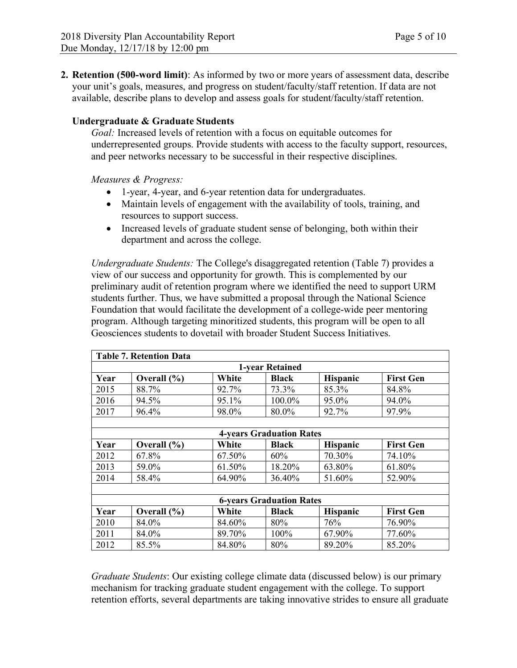**2. Retention (500-word limit)**: As informed by two or more years of assessment data, describe your unit's goals, measures, and progress on student/faculty/staff retention. If data are not available, describe plans to develop and assess goals for student/faculty/staff retention.

## **Undergraduate & Graduate Students**

*Goal:* Increased levels of retention with a focus on equitable outcomes for underrepresented groups. Provide students with access to the faculty support, resources, and peer networks necessary to be successful in their respective disciplines.

*Measures & Progress:* 

- 1-year, 4-year, and 6-year retention data for undergraduates.
- Maintain levels of engagement with the availability of tools, training, and resources to support success.
- Increased levels of graduate student sense of belonging, both within their department and across the college.

*Undergraduate Students:* The College's disaggregated retention (Table 7) provides a view of our success and opportunity for growth. This is complemented by our preliminary audit of retention program where we identified the need to support URM students further. Thus, we have submitted a proposal through the National Science Foundation that would facilitate the development of a college-wide peer mentoring program. Although targeting minoritized students, this program will be open to all Geosciences students to dovetail with broader Student Success Initiatives.

| <b>Table 7. Retention Data</b>  |                                                                                 |        |                                 |                 |                  |  |  |
|---------------------------------|---------------------------------------------------------------------------------|--------|---------------------------------|-----------------|------------------|--|--|
| <b>1-year Retained</b>          |                                                                                 |        |                                 |                 |                  |  |  |
| Year                            | <b>First Gen</b><br>Overall $(\% )$<br>White<br><b>Black</b><br><b>Hispanic</b> |        |                                 |                 |                  |  |  |
| 2015                            | 88.7%                                                                           | 92.7%  | 73.3%                           | 85.3%           | 84.8%            |  |  |
| 2016                            | 94.5%                                                                           | 95.1%  | 100.0%                          | 95.0%           | 94.0%            |  |  |
| 2017                            | 96.4%                                                                           | 98.0%  | 80.0%                           | 92.7%           | 97.9%            |  |  |
|                                 |                                                                                 |        |                                 |                 |                  |  |  |
|                                 |                                                                                 |        | <b>4-years Graduation Rates</b> |                 |                  |  |  |
| Year                            | White<br><b>First Gen</b><br>Overall $(\% )$<br><b>Black</b><br><b>Hispanic</b> |        |                                 |                 |                  |  |  |
| 2012                            | 67.8%                                                                           | 67.50% | 60%                             | 70.30%          | 74.10%           |  |  |
| 2013                            | 59.0%                                                                           | 61.50% | 18.20%                          | 63.80%          | 61.80%           |  |  |
| 2014                            | 58.4%                                                                           | 64.90% | 36.40%                          | 51.60%          | 52.90%           |  |  |
|                                 |                                                                                 |        |                                 |                 |                  |  |  |
| <b>6-years Graduation Rates</b> |                                                                                 |        |                                 |                 |                  |  |  |
| Year                            | Overall $(\% )$                                                                 | White  | Black                           | <b>Hispanic</b> | <b>First Gen</b> |  |  |
| 2010                            | 84.0%                                                                           | 84.60% | 80%                             | 76%             | 76.90%           |  |  |
| 2011                            | 84.0%                                                                           | 89.70% | 100%                            | 67.90%          | 77.60%           |  |  |
| 2012                            | 85.5%                                                                           | 84.80% | 80%                             | 89.20%          | 85.20%           |  |  |

*Graduate Students*: Our existing college climate data (discussed below) is our primary mechanism for tracking graduate student engagement with the college. To support retention efforts, several departments are taking innovative strides to ensure all graduate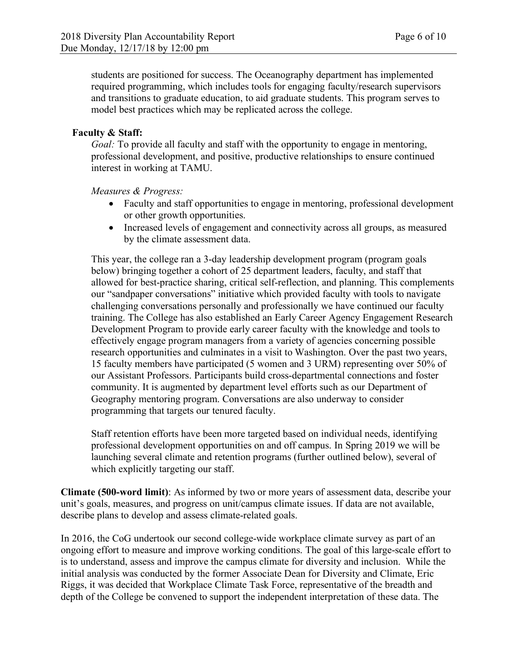students are positioned for success. The Oceanography department has implemented required programming, which includes tools for engaging faculty/research supervisors and transitions to graduate education, to aid graduate students. This program serves to model best practices which may be replicated across the college.

## **Faculty & Staff:**

*Goal:* To provide all faculty and staff with the opportunity to engage in mentoring, professional development, and positive, productive relationships to ensure continued interest in working at TAMU.

*Measures & Progress:*

- Faculty and staff opportunities to engage in mentoring, professional development or other growth opportunities.
- Increased levels of engagement and connectivity across all groups, as measured by the climate assessment data.

This year, the college ran a 3-day leadership development program (program goals below) bringing together a cohort of 25 department leaders, faculty, and staff that allowed for best-practice sharing, critical self-reflection, and planning. This complements our "sandpaper conversations" initiative which provided faculty with tools to navigate challenging conversations personally and professionally we have continued our faculty training. The College has also established an Early Career Agency Engagement Research Development Program to provide early career faculty with the knowledge and tools to effectively engage program managers from a variety of agencies concerning possible research opportunities and culminates in a visit to Washington. Over the past two years, 15 faculty members have participated (5 women and 3 URM) representing over 50% of our Assistant Professors. Participants build cross-departmental connections and foster community. It is augmented by department level efforts such as our Department of Geography mentoring program. Conversations are also underway to consider programming that targets our tenured faculty.

Staff retention efforts have been more targeted based on individual needs, identifying professional development opportunities on and off campus. In Spring 2019 we will be launching several climate and retention programs (further outlined below), several of which explicitly targeting our staff.

**Climate (500-word limit)**: As informed by two or more years of assessment data, describe your unit's goals, measures, and progress on unit/campus climate issues. If data are not available, describe plans to develop and assess climate-related goals.

In 2016, the CoG undertook our second college-wide workplace climate survey as part of an ongoing effort to measure and improve working conditions. The goal of this large-scale effort to is to understand, assess and improve the campus climate for diversity and inclusion. While the initial analysis was conducted by the former Associate Dean for Diversity and Climate, Eric Riggs, it was decided that Workplace Climate Task Force, representative of the breadth and depth of the College be convened to support the independent interpretation of these data. The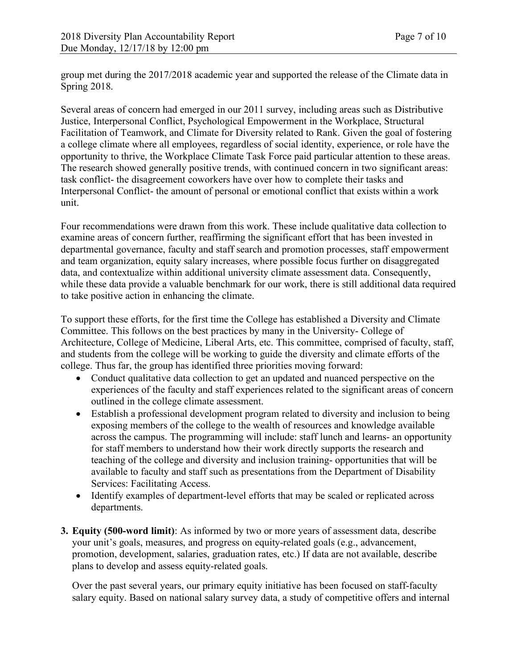group met during the 2017/2018 academic year and supported the release of the Climate data in Spring 2018.

Several areas of concern had emerged in our 2011 survey, including areas such as Distributive Justice, Interpersonal Conflict, Psychological Empowerment in the Workplace, Structural Facilitation of Teamwork, and Climate for Diversity related to Rank. Given the goal of fostering a college climate where all employees, regardless of social identity, experience, or role have the opportunity to thrive, the Workplace Climate Task Force paid particular attention to these areas. The research showed generally positive trends, with continued concern in two significant areas: task conflict- the disagreement coworkers have over how to complete their tasks and Interpersonal Conflict- the amount of personal or emotional conflict that exists within a work unit.

Four recommendations were drawn from this work. These include qualitative data collection to examine areas of concern further, reaffirming the significant effort that has been invested in departmental governance, faculty and staff search and promotion processes, staff empowerment and team organization, equity salary increases, where possible focus further on disaggregated data, and contextualize within additional university climate assessment data. Consequently, while these data provide a valuable benchmark for our work, there is still additional data required to take positive action in enhancing the climate.

To support these efforts, for the first time the College has established a Diversity and Climate Committee. This follows on the best practices by many in the University- College of Architecture, College of Medicine, Liberal Arts, etc. This committee, comprised of faculty, staff, and students from the college will be working to guide the diversity and climate efforts of the college. Thus far, the group has identified three priorities moving forward:

- Conduct qualitative data collection to get an updated and nuanced perspective on the experiences of the faculty and staff experiences related to the significant areas of concern outlined in the college climate assessment.
- Establish a professional development program related to diversity and inclusion to being exposing members of the college to the wealth of resources and knowledge available across the campus. The programming will include: staff lunch and learns- an opportunity for staff members to understand how their work directly supports the research and teaching of the college and diversity and inclusion training- opportunities that will be available to faculty and staff such as presentations from the Department of Disability Services: Facilitating Access.
- Identify examples of department-level efforts that may be scaled or replicated across departments.
- **3. Equity (500-word limit)**: As informed by two or more years of assessment data, describe your unit's goals, measures, and progress on equity-related goals (e.g., advancement, promotion, development, salaries, graduation rates, etc.) If data are not available, describe plans to develop and assess equity-related goals.

Over the past several years, our primary equity initiative has been focused on staff-faculty salary equity. Based on national salary survey data, a study of competitive offers and internal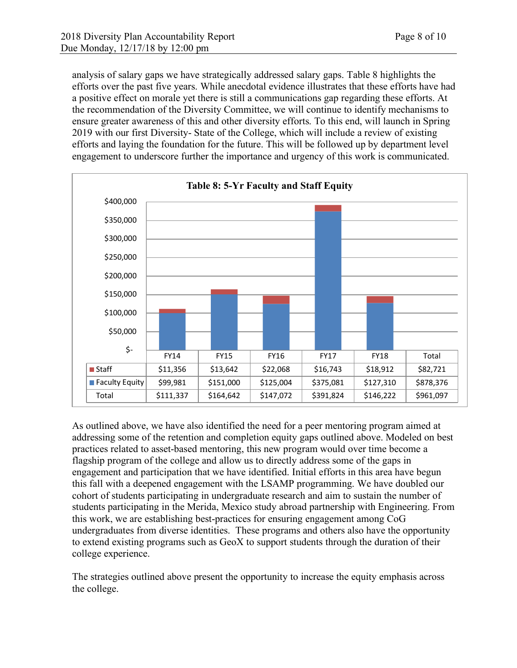analysis of salary gaps we have strategically addressed salary gaps. Table 8 highlights the efforts over the past five years. While anecdotal evidence illustrates that these efforts have had a positive effect on morale yet there is still a communications gap regarding these efforts. At the recommendation of the Diversity Committee, we will continue to identify mechanisms to ensure greater awareness of this and other diversity efforts. To this end, will launch in Spring 2019 with our first Diversity- State of the College, which will include a review of existing efforts and laying the foundation for the future. This will be followed up by department level engagement to underscore further the importance and urgency of this work is communicated.



As outlined above, we have also identified the need for a peer mentoring program aimed at addressing some of the retention and completion equity gaps outlined above. Modeled on best practices related to asset-based mentoring, this new program would over time become a flagship program of the college and allow us to directly address some of the gaps in engagement and participation that we have identified. Initial efforts in this area have begun this fall with a deepened engagement with the LSAMP programming. We have doubled our cohort of students participating in undergraduate research and aim to sustain the number of students participating in the Merida, Mexico study abroad partnership with Engineering. From this work, we are establishing best-practices for ensuring engagement among CoG undergraduates from diverse identities. These programs and others also have the opportunity to extend existing programs such as GeoX to support students through the duration of their college experience.

The strategies outlined above present the opportunity to increase the equity emphasis across the college.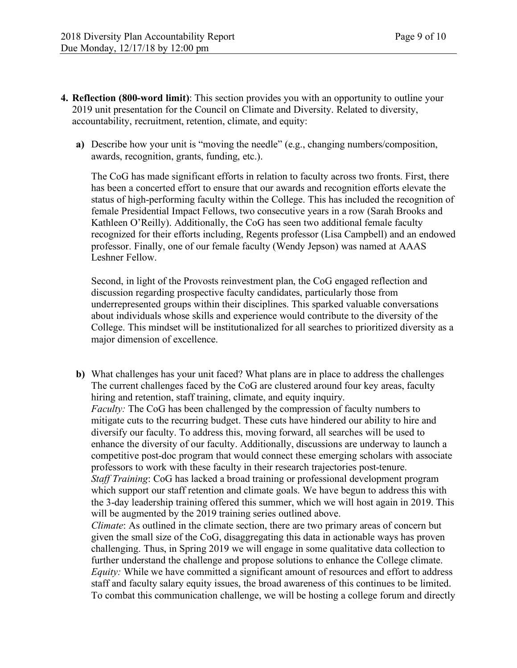- **4. Reflection (800-word limit)**: This section provides you with an opportunity to outline your 2019 unit presentation for the Council on Climate and Diversity. Related to diversity, accountability, recruitment, retention, climate, and equity:
	- **a)** Describe how your unit is "moving the needle" (e.g., changing numbers/composition, awards, recognition, grants, funding, etc.).

The CoG has made significant efforts in relation to faculty across two fronts. First, there has been a concerted effort to ensure that our awards and recognition efforts elevate the status of high-performing faculty within the College. This has included the recognition of female Presidential Impact Fellows, two consecutive years in a row (Sarah Brooks and Kathleen O'Reilly). Additionally, the CoG has seen two additional female faculty recognized for their efforts including, Regents professor (Lisa Campbell) and an endowed professor. Finally, one of our female faculty (Wendy Jepson) was named at AAAS Leshner Fellow.

Second, in light of the Provosts reinvestment plan, the CoG engaged reflection and discussion regarding prospective faculty candidates, particularly those from underrepresented groups within their disciplines. This sparked valuable conversations about individuals whose skills and experience would contribute to the diversity of the College. This mindset will be institutionalized for all searches to prioritized diversity as a major dimension of excellence.

**b)** What challenges has your unit faced? What plans are in place to address the challenges The current challenges faced by the CoG are clustered around four key areas, faculty hiring and retention, staff training, climate, and equity inquiry. *Faculty:* The CoG has been challenged by the compression of faculty numbers to mitigate cuts to the recurring budget. These cuts have hindered our ability to hire and diversify our faculty. To address this, moving forward, all searches will be used to enhance the diversity of our faculty. Additionally, discussions are underway to launch a competitive post-doc program that would connect these emerging scholars with associate professors to work with these faculty in their research trajectories post-tenure. *Staff Training*: CoG has lacked a broad training or professional development program which support our staff retention and climate goals. We have begun to address this with the 3-day leadership training offered this summer, which we will host again in 2019. This will be augmented by the 2019 training series outlined above. *Climate*: As outlined in the climate section, there are two primary areas of concern but

given the small size of the CoG, disaggregating this data in actionable ways has proven challenging. Thus, in Spring 2019 we will engage in some qualitative data collection to further understand the challenge and propose solutions to enhance the College climate. *Equity:* While we have committed a significant amount of resources and effort to address staff and faculty salary equity issues, the broad awareness of this continues to be limited. To combat this communication challenge, we will be hosting a college forum and directly